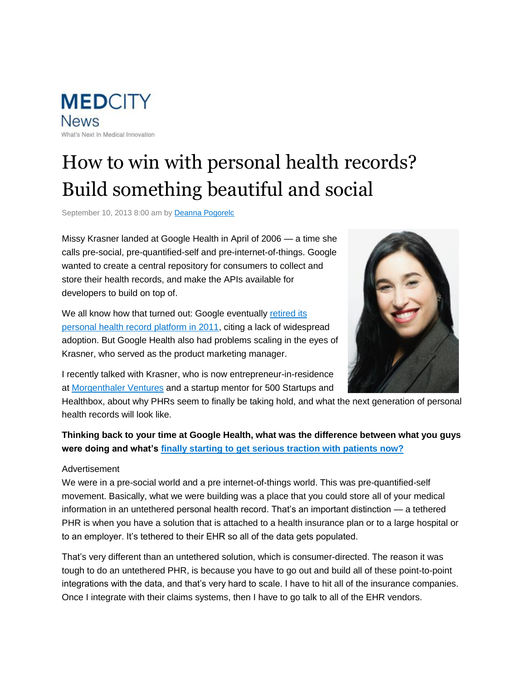**MEDCITY News** What's Next In Medical Innovation

# How to win with personal health records? Build something beautiful and social

September 10, 2013 8:00 am by Deanna Pogorelc

Missy Krasner landed at Google Health in April of 2006 — a time she calls pre-social, pre-quantified-self and pre-internet-of-things. Google wanted to create a central repository for consumers to collect and store their health records, and make the APIs available for developers to build on top of.

We all know how that turned out: Google eventually retired its personal health record platform in 2011, citing a lack of widespread adoption. But Google Health also had problems scaling in the eyes of Krasner, who served as the product marketing manager.



I recently talked with Krasner, who is now entrepreneur-in-residence at Morgenthaler Ventures and a startup mentor for 500 Startups and

Healthbox, about why PHRs seem to finally be taking hold, and what the next generation of personal health records will look like.

## **Thinking back to your time at Google Health, what was the difference between what you guys were doing and what's finally starting to get serious traction with patients now?**

#### Advertisement

We were in a pre-social world and a pre internet-of-things world. This was pre-quantified-self movement. Basically, what we were building was a place that you could store all of your medical information in an untethered personal health record. That's an important distinction — a tethered PHR is when you have a solution that is attached to a health insurance plan or to a large hospital or to an employer. It's tethered to their EHR so all of the data gets populated.

That's very different than an untethered solution, which is consumer-directed. The reason it was tough to do an untethered PHR, is because you have to go out and build all of these point-to-point integrations with the data, and that's very hard to scale. I have to hit all of the insurance companies. Once I integrate with their claims systems, then I have to go talk to all of the EHR vendors.